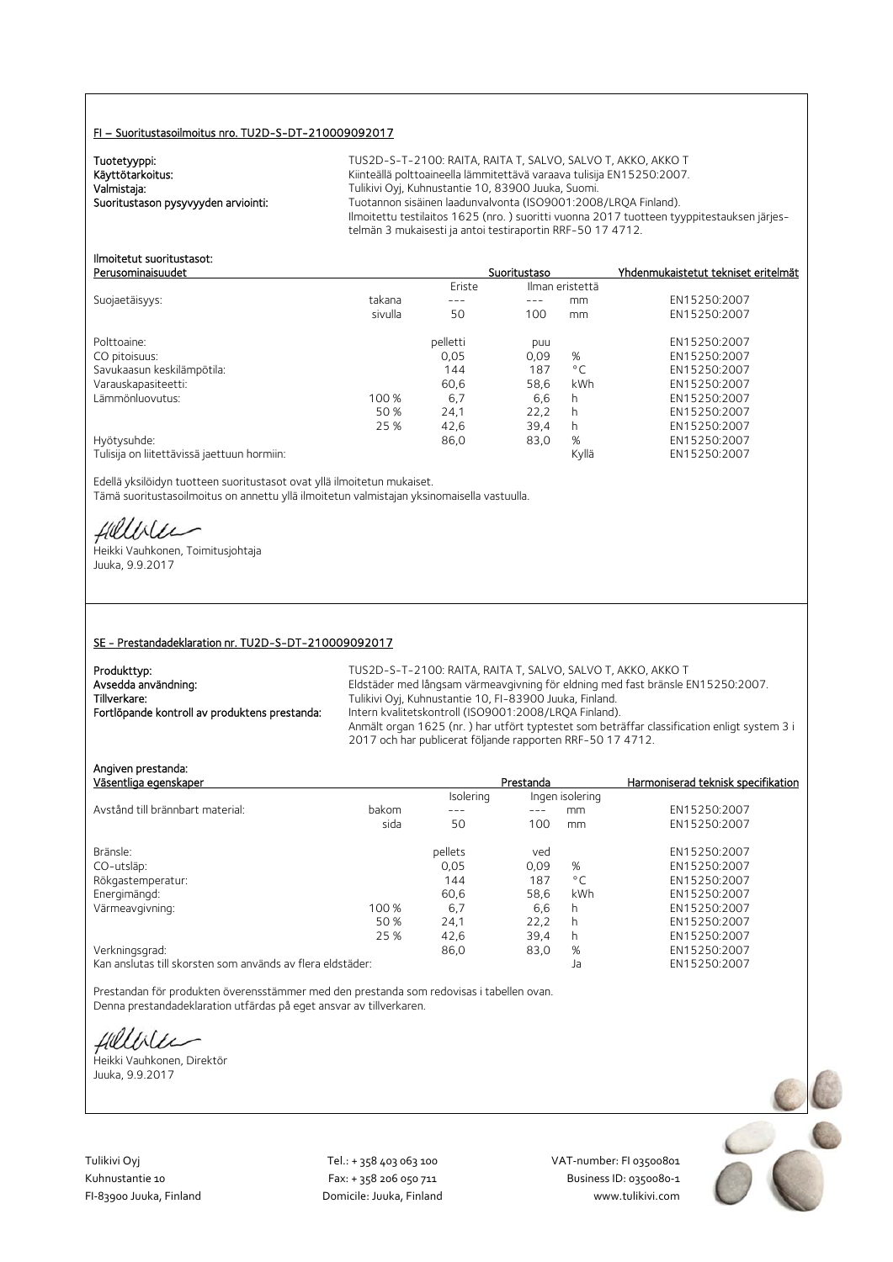#### FI – Suoritustasoilmoitus nro. TU2D-S-DT-210009092017

Tuotetyyppi:<br>Käyttötarkoitus:

TUS2D-S-T-2100: RAITA, RAITA T, SALVO, SALVO T, AKKO, AKKO T Käyttötarkoitus: Käyttötarkoitus: Kiinteällä polttoaineella lämmitettävä varaava tulisija EN15250:2007.<br>Valmistaja: Valmistaja: Kuhnustantie 10, 83900 Juuka, Suomi. Valmistaja: Valmistaja: Tulikivi Oyj, Kuhnustantie 10, 83900 Juuka, Suomi.<br>2008–1:2008 Tuotannon sisäinen laadunvalvonta (ISO9001:2008 Tuotannon sisäinen laadunvalvonta (ISO9001:2008/LRQA Finland). Ilmoitettu testilaitos 1625 (nro. ) suoritti vuonna 2017 tuotteen tyyppitestauksen järjestelmän 3 mukaisesti ja antoi testiraportin RRF-50 17 4712.

#### Ilmoitetut suoritustasot: Perusominaisuudet Suoritustaso Yhdenmukaistetut tekniset eritelmät

|                                             |         | Eriste   | Ilman eristettä |              |              |
|---------------------------------------------|---------|----------|-----------------|--------------|--------------|
| Suojaetäisyys:                              | takana  | ---      | ---             | mm           | EN15250:2007 |
|                                             | sivulla | 50       | 100             | mm           | EN15250:2007 |
| Polttoaine:                                 |         | pelletti | puu             |              | EN15250:2007 |
| CO pitoisuus:                               |         | 0,05     | 0,09            | %            | EN15250:2007 |
| Savukaasun keskilämpötila:                  |         | 144      | 187             | $^{\circ}$ C | EN15250:2007 |
| Varauskapasiteetti:                         |         | 60.6     | 58.6            | kWh          | EN15250:2007 |
| Lämmönluovutus:                             | 100 %   | 6,7      | 6,6             | h            | EN15250:2007 |
|                                             | 50 %    | 24,1     | 22,2            | h            | EN15250:2007 |
|                                             | 25 %    | 42,6     | 39,4            | h            | EN15250:2007 |
| Hyötysuhde:                                 |         | 86,0     | 83,0            | %            | EN15250:2007 |
| Tulisija on liitettävissä jaettuun hormiin: |         |          |                 | Kyllä        | EN15250:2007 |

Edellä yksilöidyn tuotteen suoritustasot ovat yllä ilmoitetun mukaiset. Tämä suoritustasoilmoitus on annettu yllä ilmoitetun valmistajan yksinomaisella vastuulla.

fillblu

Heikki Vauhkonen, Toimitusjohtaja Juuka, 9.9.2017

#### SE - Prestandadeklaration nr. TU2D-S-DT-210009092017

| Produkttyp:                                   | TUS2D-S-T-2100: RAITA, RAITA T. SALVO, SALVO T. AKKO, AKKO T                                |
|-----------------------------------------------|---------------------------------------------------------------------------------------------|
| Avsedda användning:                           | Eldstäder med långsam värmeavgivning för eldning med fast bränsle EN15250:2007.             |
| Tillverkare:                                  | Tulikivi Oyj, Kuhnustantie 10, FI-83900 Juuka, Finland.                                     |
| Fortlöpande kontroll av produktens prestanda: | Intern kvalitetskontroll (ISO9001:2008/LRQA Finland).                                       |
|                                               | Anmält organ 1625 (nr.) har utfört typtestet som beträffar classification enligt system 3 i |
|                                               | 2017 och har publicerat följande rapporten RRF-50 17 4712.                                  |

| Angiven prestanda:    |  |
|-----------------------|--|
| Väsentlina enenskaner |  |

| Väsentliga egenskaper                                      |       |           | Prestanda       |              | Harmoniserad teknisk specifikation |
|------------------------------------------------------------|-------|-----------|-----------------|--------------|------------------------------------|
|                                                            |       | Isolering | Ingen isolering |              |                                    |
| Avstånd till brännbart material:                           | bakom | ---       |                 | mm           | EN15250:2007                       |
|                                                            | sida  | 50        | 100             | mm           | EN15250:2007                       |
| Bränsle:                                                   |       | pellets   | ved             |              | EN15250:2007                       |
| CO-utsläp:                                                 |       | 0.05      | 0.09            | %            | EN15250:2007                       |
| Rökgastemperatur:                                          |       | 144       | 187             | $^{\circ}$ C | EN15250:2007                       |
| Energimängd:                                               |       | 60.6      | 58,6            | kWh          | EN15250:2007                       |
| Värmeavgivning:                                            | 100 % | 6,7       | 6,6             | h            | EN15250:2007                       |
|                                                            | 50 %  | 24,1      | 22.2            | h            | EN15250:2007                       |
|                                                            | 25 %  | 42.6      | 39.4            | h            | EN15250:2007                       |
| Verkningsgrad:                                             |       | 86,0      | 83,0            | %            | EN15250:2007                       |
| Kan anslutas till skorsten som används av flera eldstäder: |       |           |                 | Ja           | EN15250:2007                       |

Prestandan för produkten överensstämmer med den prestanda som redovisas i tabellen ovan. Denna prestandadeklaration utfärdas på eget ansvar av tillverkaren.

fieldster

Heikki Vauhkonen, Direktör Juuka, 9.9.2017

Tulikivi Oyj Tel.: + 358 403 063 100 VAT‐number: FI 03500801

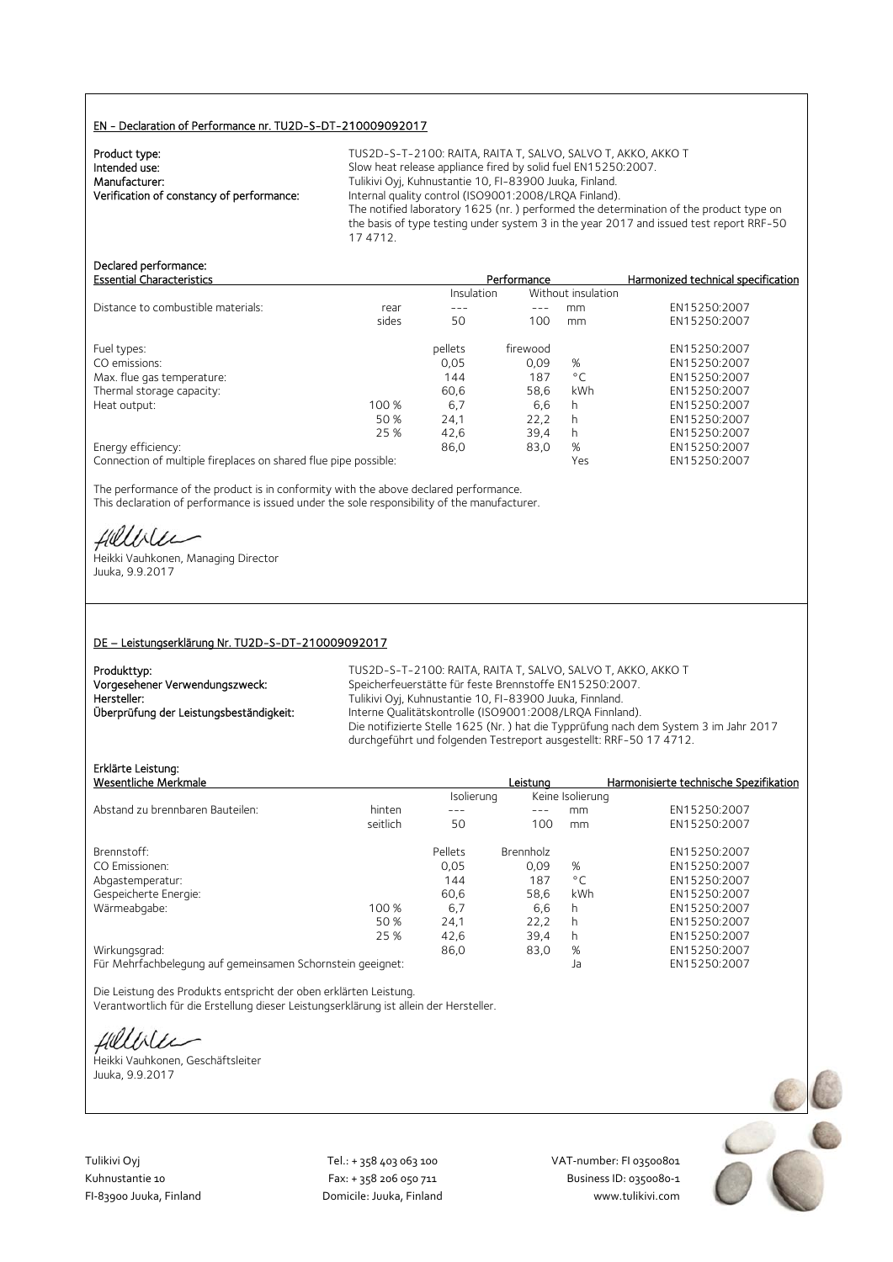#### EN - Declaration of Performance nr. TU2D-S-DT-210009092017

| TUS2D-S-T-2100: RAITA, RAITA T, SALVO, SALVO T, AKKO, AKKO T                                       |
|----------------------------------------------------------------------------------------------------|
| Slow heat release appliance fired by solid fuel EN15250:2007.                                      |
| Tulikivi Oyj, Kuhnustantie 10, FI-83900 Juuka, Finland.                                            |
| Internal quality control (ISO9001:2008/LRQA Finland).                                              |
| The notified laboratory 1625 (nr.) performed the determination of the product type on              |
| the basis of type testing under system 3 in the year 2017 and issued test report RRF-50<br>174712. |
|                                                                                                    |

# Declared performance:

| <b>Essential Characteristics</b>   |       | Performance |                    | Harmonized technical specification |              |
|------------------------------------|-------|-------------|--------------------|------------------------------------|--------------|
|                                    |       | Insulation  | Without insulation |                                    |              |
| Distance to combustible materials: | rear  |             |                    | mm                                 | EN15250:2007 |
|                                    | sides | 50          | 100                | mm                                 | EN15250:2007 |
| Fuel types:                        |       | pellets     | firewood           |                                    | EN15250:2007 |
| CO emissions:                      |       | 0,05        | 0.09               | %                                  | EN15250:2007 |
| Max. flue gas temperature:         |       | 144         | 187                | $^{\circ}$ C                       | EN15250:2007 |
| Thermal storage capacity:          |       | 60.6        | 58.6               | <b>kWh</b>                         | EN15250:2007 |
| Heat output:                       | 100 % | 6,7         | 6,6                | h                                  | EN15250:2007 |
|                                    | 50 %  | 24,1        | 22.2               | h                                  | EN15250:2007 |
|                                    | 25 %  | 42,6        | 39,4               |                                    | EN15250:2007 |
| Energy efficiency:                 |       | 86,0        | 83,0               | %                                  | EN15250:2007 |
|                                    |       |             |                    |                                    |              |

Connection of multiple fireplaces on shared flue pipe possible: Yes Wes EN15250:2007

The performance of the product is in conformity with the above declared performance. This declaration of performance is issued under the sole responsibility of the manufacturer.

fieldster

Heikki Vauhkonen, Managing Director Juuka, 9.9.2017

#### DE – Leistungserklärung Nr. TU2D-S-DT-210009092017

| Produkttyp:                            |
|----------------------------------------|
| Vorgesehener Verwendungszweck:         |
| Hersteller:                            |
| Überprüfung der Leistungsbeständigkeit |
|                                        |

TUS2D-S-T-2100: RAITA, RAITA T, SALVO, SALVO T, AKKO, AKKO T Speicherfeuerstätte für feste Brennstoffe EN15250:2007. Tulikivi Oyj, Kuhnustantie 10, FI-83900 Juuka, Finnland.<br>Interne Qualitätskontrolle (ISO9001:2008/LRQA Finnla Interne Qualitätskontrolle (ISO9001:2008/LRQA Finnland). Die notifizierte Stelle 1625 (Nr. ) hat die Typprüfung nach dem System 3 im Jahr 2017 durchgeführt und folgenden Testreport ausgestellt: RRF-50 17 4712.

# Erklärte Leistung:

| Erklärte Leistung:                                         |          |            |                  |                  |                                        |
|------------------------------------------------------------|----------|------------|------------------|------------------|----------------------------------------|
| Wesentliche Merkmale                                       |          |            | Leistuna         |                  | Harmonisierte technische Spezifikation |
|                                                            |          | Isolierung |                  | Keine Isolierung |                                        |
| Abstand zu brennbaren Bauteilen:                           | hinten   | ---        |                  | mm               | EN15250:2007                           |
|                                                            | seitlich | 50         | 100              | mm               | EN15250:2007                           |
| Brennstoff:                                                |          | Pellets    | <b>Brennholz</b> |                  | EN15250:2007                           |
| CO Emissionen:                                             |          | 0.05       | 0.09             | %                | EN15250:2007                           |
| Abgastemperatur:                                           |          | 144        | 187              | $^{\circ}$ C     | EN15250:2007                           |
| Gespeicherte Energie:                                      |          | 60.6       | 58.6             | kWh              | EN15250:2007                           |
| Wärmeabgabe:                                               | 100 %    | 6,7        | 6,6              | h.               | EN15250:2007                           |
|                                                            | 50 %     | 24,1       | 22,2             | h.               | EN15250:2007                           |
|                                                            | 25 %     | 42,6       | 39.4             | h.               | EN15250:2007                           |
| Wirkungsgrad:                                              |          | 86,0       | 83,0             | %                | EN15250:2007                           |
| Für Mehrfachbelegung auf gemeinsamen Schornstein geeignet: |          |            |                  | Ja               | EN15250:2007                           |

Die Leistung des Produkts entspricht der oben erklärten Leistung. Verantwortlich für die Erstellung dieser Leistungserklärung ist allein der Hersteller.

fielliter

Heikki Vauhkonen, Geschäftsleiter Juuka, 9.9.2017



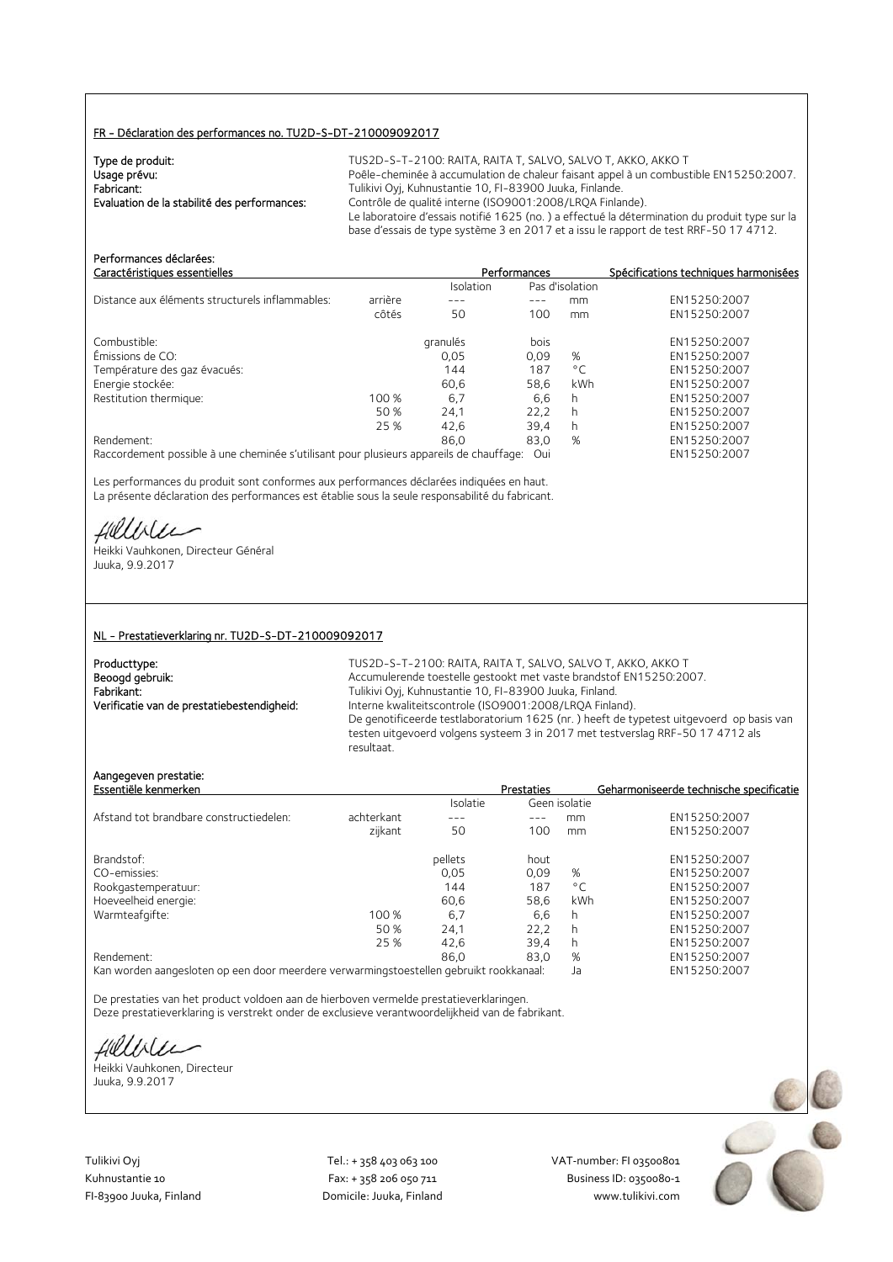## FR - Déclaration des performances no. TU2D-S-DT-210009092017

| Type de produit:                             | TUS2D-S-T-2100: RAITA, RAITA T, SALVO, SALVO T, AKKO, AKKO T                                  |
|----------------------------------------------|-----------------------------------------------------------------------------------------------|
| Usage prévu:                                 | Poêle-cheminée à accumulation de chaleur faisant appel à un combustible EN15250:2007.         |
| Fabricant:                                   | Tulikivi Oyj, Kuhnustantie 10, FI-83900 Juuka, Finlande.                                      |
| Evaluation de la stabilité des performances: | Contrôle de qualité interne (ISO9001:2008/LROA Finlande).                                     |
|                                              | Le laboratoire d'essais notifié 1625 (no.) a effectué la détermination du produit type sur la |
|                                              | base d'essais de type système 3 en 2017 et a issu le rapport de test RRF-50 17 4712.          |

| Performances déclarées:<br>Caractéristiques essentielles                                |         |           | Performances |                 | Spécifications techniques harmonisées |
|-----------------------------------------------------------------------------------------|---------|-----------|--------------|-----------------|---------------------------------------|
|                                                                                         |         | Isolation |              | Pas d'isolation |                                       |
| Distance aux éléments structurels inflammables:                                         | arrière |           |              | mm              | EN15250:2007                          |
|                                                                                         | côtés   | 50        | 100          | mm              | EN15250:2007                          |
| Combustible:                                                                            |         | granulés  | bois         |                 | EN15250:2007                          |
| Émissions de CO:                                                                        |         | 0,05      | 0,09         | %               | EN15250:2007                          |
| Température des gaz évacués:                                                            |         | 144       | 187          | $^{\circ}$ C    | EN15250:2007                          |
| Energie stockée:                                                                        |         | 60,6      | 58,6         | kWh             | EN15250:2007                          |
| Restitution thermique:                                                                  | 100 %   | 6.7       | 6,6          | h               | EN15250:2007                          |
|                                                                                         | 50 %    | 24,1      | 22,2         | h               | EN15250:2007                          |
|                                                                                         | 25 %    | 42.6      | 39.4         | h               | EN15250:2007                          |
| Rendement:                                                                              |         | 86.0      | 83,0         | %               | EN15250:2007                          |
| Raccordement possible à une cheminée s'utilisant pour plusieurs appareils de chauffage: |         |           | Oui          |                 | EN15250:2007                          |

Les performances du produit sont conformes aux performances déclarées indiquées en haut. La présente déclaration des performances est établie sous la seule responsabilité du fabricant.

fielliter

Heikki Vauhkonen, Directeur Général Juuka, 9.9.2017

#### NL - Prestatieverklaring nr. TU2D-S-DT-210009092017

| Producttype:                               |
|--------------------------------------------|
| Beoogd gebruik:                            |
| Fabrikant:                                 |
| Verificatie van de prestatiebestendigheid: |

TUS2D-S-T-2100: RAITA, RAITA T, SALVO, SALVO T, AKKO, AKKO T Accumulerende toestelle gestookt met vaste brandstof EN15250:2007. Fabrikant: Tulikivi Oyj, Kuhnustantie 10, FI-83900 Juuka, Finland. Interne kwaliteitscontrole (ISO9001:2008/LRQA Finland). De genotificeerde testlaboratorium 1625 (nr. ) heeft de typetest uitgevoerd op basis van testen uitgevoerd volgens systeem 3 in 2017 met testverslag RRF-50 17 4712 als resultaat.

## Aangegeven prestatie:

| Essentiële kenmerken                    |            |          | <b>Prestaties</b> |               | Geharmoniseerde technische specificatie |
|-----------------------------------------|------------|----------|-------------------|---------------|-----------------------------------------|
|                                         |            | Isolatie |                   | Geen isolatie |                                         |
| Afstand tot brandbare constructiedelen: | achterkant | ---      |                   | mm            | EN15250:2007                            |
|                                         | zijkant    | 50       | 100               | mm            | EN15250:2007                            |
| Brandstof:                              |            | pellets  | hout              |               | EN15250:2007                            |
| CO-emissies:                            |            | 0.05     | 0.09              | %             | EN15250:2007                            |
| Rookgastemperatuur:                     |            | 144      | 187               | $^{\circ}$ C  | EN15250:2007                            |
| Hoeveelheid energie:                    |            | 60.6     | 58.6              | kWh           | EN15250:2007                            |
| Warmteafgifte:                          | 100 %      | 6,7      | 6.6               | h             | EN15250:2007                            |
|                                         | 50 %       | 24,1     | 22,2              | h             | EN15250:2007                            |
|                                         | 25 %       | 42.6     | 39,4              | h             | EN15250:2007                            |
| Rendement:                              |            | 86.0     | 83.0              | %             | EN15250:2007                            |
| $\overline{\phantom{a}}$                |            |          |                   |               |                                         |

Kan worden aangesloten op een door meerdere verwarmingstoestellen gebruikt rookkanaal: Ja EN15250:2007

De prestaties van het product voldoen aan de hierboven vermelde prestatieverklaringen. Deze prestatieverklaring is verstrekt onder de exclusieve verantwoordelijkheid van de fabrikant.

fillble

Heikki Vauhkonen, Directeur Juuka, 9.9.2017

Tulikivi Oyj Tel.: + 358 403 063 100 VAT‐number: FI 03500801

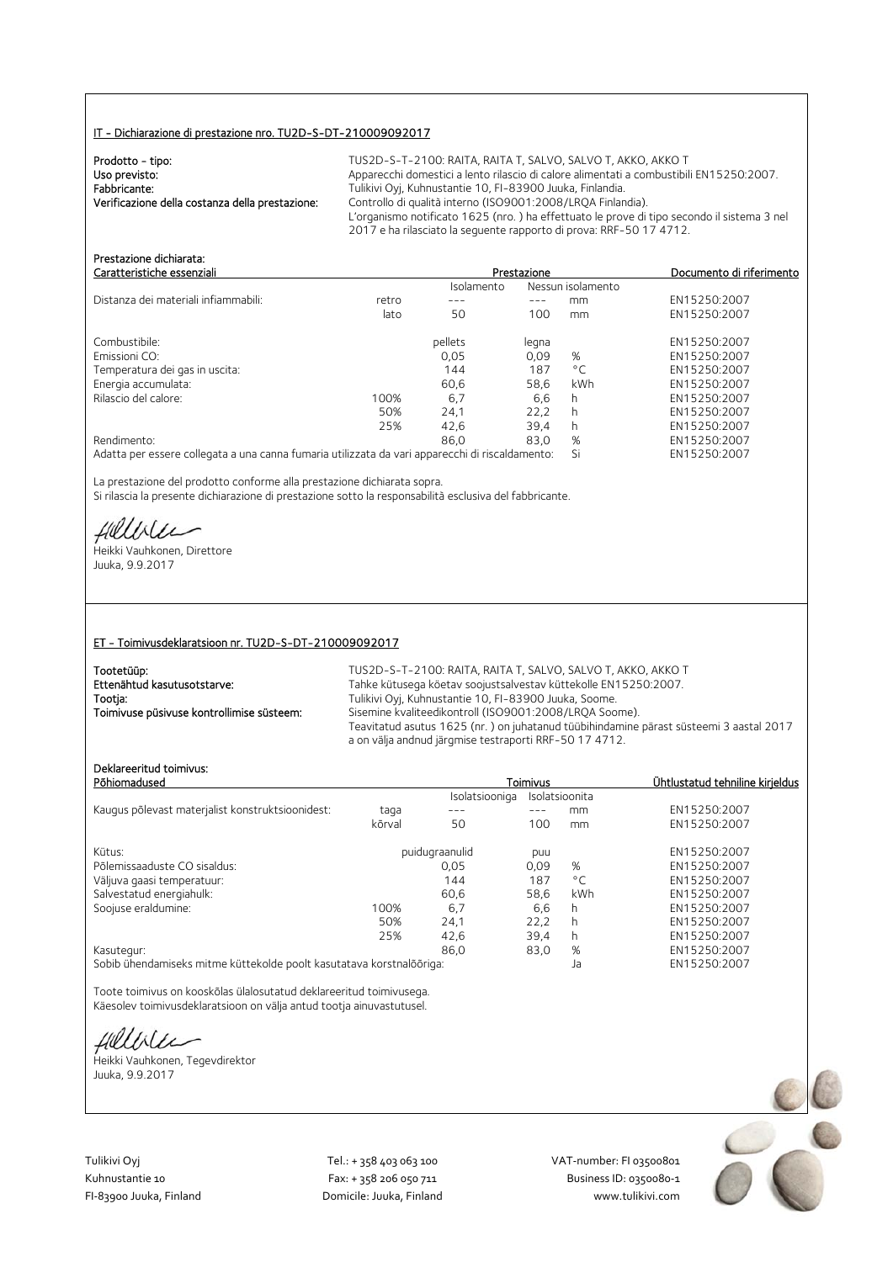### IT - Dichiarazione di prestazione nro. TU2D-S-DT-210009092017

| Prodotto - tipo:                                | TUS2D-S-T-2100: RAITA, RAITA T. SALVO, SALVO T. AKKO, AKKO T                               |
|-------------------------------------------------|--------------------------------------------------------------------------------------------|
| Uso previsto:                                   | Apparecchi domestici a lento rilascio di calore alimentati a combustibili EN15250:2007.    |
| Fabbricante:                                    | Tulikivi Oyj, Kuhnustantie 10, FI-83900 Juuka, Finlandia.                                  |
| Verificazione della costanza della prestazione: | Controllo di qualità interno (ISO9001:2008/LRQA Finlandia).                                |
|                                                 | L'organismo notificato 1625 (nro.) ha effettuato le prove di tipo secondo il sistema 3 nel |
|                                                 | 2017 e ha rilasciato la seguente rapporto di prova: RRF-50 17 4712.                        |

| FI ESLAZIONE UKHII GLA.<br>Caratteristiche essenziali                                           |       | Prestazione | Documento di riferimento |                   |              |
|-------------------------------------------------------------------------------------------------|-------|-------------|--------------------------|-------------------|--------------|
|                                                                                                 |       | Isolamento  |                          | Nessun isolamento |              |
| Distanza dei materiali infiammabili:                                                            | retro |             | ---                      | mm                | EN15250:2007 |
|                                                                                                 | lato  | 50          | 100                      | mm                | EN15250:2007 |
| Combustibile:                                                                                   |       | pellets     | legna                    |                   | EN15250:2007 |
| Emissioni CO:                                                                                   |       | 0.05        | 0.09                     | %                 | EN15250:2007 |
| Temperatura dei gas in uscita:                                                                  |       | 144         | 187                      | $^{\circ}$ C      | EN15250:2007 |
| Energia accumulata:                                                                             |       | 60,6        | 58,6                     | kWh               | EN15250:2007 |
| Rilascio del calore:                                                                            | 100%  | 6.7         | 6.6                      | h                 | EN15250:2007 |
|                                                                                                 | 50%   | 24,1        | 22.2                     | h                 | EN15250:2007 |
|                                                                                                 | 25%   | 42.6        | 39.4                     | h.                | EN15250:2007 |
| Rendimento:                                                                                     |       | 86.0        | 83.0                     | %                 | EN15250:2007 |
| Adatta per essere collegata a una canna fumaria utilizzata da vari apparecchi di riscaldamento: |       |             |                          | Si                | EN15250:2007 |

La prestazione del prodotto conforme alla prestazione dichiarata sopra. Si rilascia la presente dichiarazione di prestazione sotto la responsabilità esclusiva del fabbricante.

Hillbler

Prestazione dichiarata:

Heikki Vauhkonen, Direttore Juuka, 9.9.2017

#### ET - Toimivusdeklaratsioon nr. TU2D-S-DT-210009092017

| Tootetüüp:                                | TUS2D-S-T-2100: RAITA, RAITA T, SALVO, SALVO T, AKKO, AKKO T                                                                                     |
|-------------------------------------------|--------------------------------------------------------------------------------------------------------------------------------------------------|
| Ettenähtud kasutusotstarve:               | Tahke kütusega köetav soojustsalvestav küttekolle EN15250:2007.                                                                                  |
| Tootja:                                   | Tulikivi Oyj, Kuhnustantie 10, FI-83900 Juuka, Soome.                                                                                            |
| Toimivuse püsivuse kontrollimise süsteem: | Sisemine kvaliteedikontroll (ISO9001:2008/LRQA Soome).                                                                                           |
|                                           | Teavitatud asutus 1625 (nr.) on juhatanud tüübihindamine pärast süsteemi 3 aastal 2017<br>a on välja andnud järgmise testraporti RRF-50 17 4712. |
|                                           |                                                                                                                                                  |

# Deklareeritud toimivus:

| DENIGI EEHLUU TUIHHIVUS.<br>Põhiomadused         |        |                | Toimivus | Ühtlustatud tehniline kirjeldus |                      |
|--------------------------------------------------|--------|----------------|----------|---------------------------------|----------------------|
|                                                  |        | Isolatsiooniga |          | Isolatsioonita                  |                      |
| Kaugus põlevast materjalist konstruktsioonidest: | taqa   |                |          | mm                              | EN15250:2007         |
|                                                  | kõrval | 50             | 100      | mm                              | EN15250:2007         |
| Kütus:                                           |        | puidugraanulid | puu      |                                 | EN15250:2007         |
| Põlemissaaduste CO sisaldus:                     |        | 0.05           | 0.09     | %                               | EN15250:2007         |
| Väljuva gaasi temperatuur:                       |        | 144            | 187      | $^{\circ}$ C                    | EN15250:2007         |
| Salvestatud energiahulk:                         |        | 60.6           | 58,6     | kWh                             | EN15250:2007         |
| Soojuse eraldumine:                              | 100%   | 6,7            | 6,6      | h                               | EN15250:2007         |
|                                                  | 50%    | 24,1           | 22.2     | h                               | EN15250:2007         |
|                                                  | 25%    | 42.6           | 39,4     | h                               | EN15250:2007         |
| Kasutegur:                                       |        | 86.0           | 83,0     | %                               | EN15250:2007         |
|                                                  |        |                |          |                                 | <b>FULLEDED DOOT</b> |

Sobib ühendamiseks mitme küttekolde poolt kasutatava korstnalõõriga: Ja EN15250:2007

Toote toimivus on kooskõlas ülalosutatud deklareeritud toimivusega. Käesolev toimivusdeklaratsioon on välja antud tootja ainuvastutusel.

fillbile

Heikki Vauhkonen, Tegevdirektor Juuka, 9.9.2017

Tulikivi Oyj Tel.: + 358 403 063 100 VAT‐number: FI 03500801

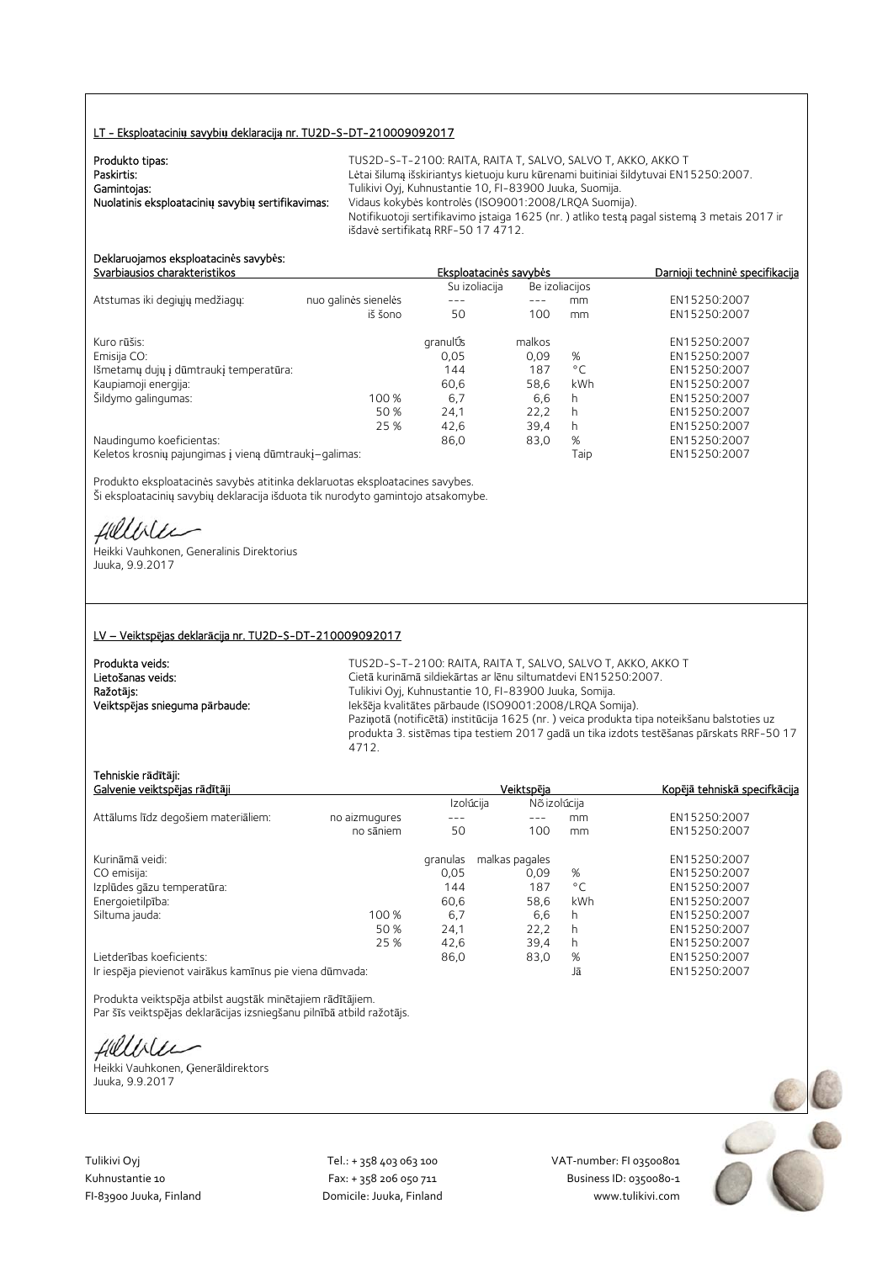#### LT - Eksploatacini**ų** savybi**ų** deklaracij**ą** nr. TU2D-S-DT-210009092017

| Produkto tipas:                                   | TUS2D-S-T-2100: RAITA, RAITA T, SALVO, SALVO T, AKKO, AKKO T                               |
|---------------------------------------------------|--------------------------------------------------------------------------------------------|
| Paskirtis:                                        | Lėtai šilumą išskiriantys kietuoju kuru kūrenami buitiniai šildytuvai EN15250:2007.        |
| Gamintojas:                                       | Tulikivi Oyj, Kuhnustantie 10, FI-83900 Juuka, Suomija.                                    |
| Nuolatinis eksploatacinių savybių sertifikavimas: | Vidaus kokybės kontrolės (ISO9001:2008/LRQA Suomija).                                      |
|                                                   | Notifikuotoji sertifikavimo įstaiga 1625 (nr.) atliko testą pagal sistemą 3 metais 2017 ir |
|                                                   | išdavė sertifikatą RRF-50 17 4712.                                                         |

# Deklaruojamos eksploatacin**ė**s savyb**ė**s:

|                                                       |                      | Su izoliacija |        | Be izoliacijos |              |
|-------------------------------------------------------|----------------------|---------------|--------|----------------|--------------|
| Atstumas iki degiųjų medžiagų:                        | nuo galinės sienelės |               |        | mm             | EN15250:2007 |
|                                                       | iš šono              | 50            | 100    | mm             | EN15250:2007 |
| Kuro rūšis:                                           |                      | granulÚs      | malkos |                | EN15250:2007 |
| Emisija CO:                                           |                      | 0,05          | 0,09   | %              | EN15250:2007 |
| Išmetamų dujų į dūmtraukį temperatūra:                |                      | 144           | 187    | $^{\circ}$ C   | EN15250:2007 |
| Kaupiamoji energija:                                  |                      | 60,6          | 58,6   | kWh            | EN15250:2007 |
| Šildymo galingumas:                                   | 100 %                | 6,7           | 6,6    | h              | EN15250:2007 |
|                                                       | 50 %                 | 24.1          | 22.2   | h              | EN15250:2007 |
|                                                       | 25 %                 | 42,6          | 39.4   | h              | EN15250:2007 |
| Naudingumo koeficientas:                              |                      | 86,0          | 83,0   | %              | EN15250:2007 |
| Keletos krosnių pajungimas į vieną dūmtraukį-galimas: |                      |               |        | Taip           | EN15250:2007 |

Produkto eksploatacinės savybės atitinka deklaruotas eksploatacines savybes. Ši eksploatacinių savybių deklaracija išduota tik nurodyto gamintojo atsakomybe.

fielliter

Heikki Vauhkonen, Generalinis Direktorius Juuka, 9.9.2017

#### LV – Veiktsp**ē**jas deklar**ā**cija nr. TU2D-S-DT-210009092017

Produkta veids: TUS2D-S-T-2100: RAITA, RAITA T, SALVO, SALVO T, AKKO, AKKO T<br>Cietā kurināmā sildiekārtas ar lēnu siltumatdevi EN15250:2007. Lietošanas veids: Cietā kurināmā sildiekārtas ar lēnu siltumatdevi EN15250:2007.<br>
Ražotājs: Cietā kurināmā sildiekārtas ar lēnu siltumatdevi EN15250:2007. Tulikivi Oyj, Kuhnustantie 10, FI-83900 Juuka, Somija. Veiktsp**ē**jas snieguma p**ā**rbaude: Iekšēja kvalitātes pārbaude (ISO9001:2008/LRQA Somija). Paziņotā (notificētā) institūcija 1625 (nr. ) veica produkta tipa noteikšanu balstoties uz produkta 3. sistēmas tipa testiem 2017 gadā un tika izdots testēšanas pārskats RRF-50 17 4712.

## Tehniskie r**ā**d**ī**t**ā**ji:

| Galvenie veiktspējas rādītāji                            |               |           | Veiktspēja     | <u>Kopējā tehniskā specifkācija</u> |              |
|----------------------------------------------------------|---------------|-----------|----------------|-------------------------------------|--------------|
|                                                          |               | Izolúcija | Nõ izolúcija   |                                     |              |
| Attālums līdz degošiem materiāliem:                      | no aizmugures |           |                | mm.                                 | EN15250:2007 |
|                                                          | no sāniem     | 50        | 100            | mm                                  | EN15250:2007 |
| Kurināmā veidi:                                          |               | granulas  | malkas pagales |                                     | EN15250:2007 |
| CO emisija:                                              |               | 0,05      | 0.09           | %                                   | EN15250:2007 |
| Izplūdes gāzu temperatūra:                               |               | 144       | 187            | $^{\circ}$ C                        | EN15250:2007 |
| Energoietilpība:                                         |               | 60,6      | 58,6           | kWh                                 | EN15250:2007 |
| Siltuma jauda:                                           | 100 %         | 6,7       | 6,6            | h                                   | EN15250:2007 |
|                                                          | 50 %          | 24,1      | 22.2           | h                                   | EN15250:2007 |
|                                                          | 25 %          | 42,6      | 39,4           | h.                                  | EN15250:2007 |
| Lietderības koeficients:                                 |               | 86,0      | 83,0           | %                                   | EN15250:2007 |
| Ir iespēja pievienot vairākus kamīnus pie viena dūmvada: |               |           |                | Jā                                  | EN15250:2007 |

Produkta veiktspēja atbilst augstāk minētajiem rādītājiem. Par šīs veiktspējas deklarācijas izsniegšanu pilnībā atbild ražotājs.

fillble

Heikki Vauhkonen, Ģenerāldirektors Juuka, 9.9.2017

Tulikivi Oyj Tel.: + 358 403 063 100 VAT‐number: FI 03500801

Kuhnustantie 10 Fax: + 358 206 050 711 Business ID: 0350080‐1 FI‐83900 Juuka, Finland Domicile: Juuka, Finland www.tulikivi.com

Svarbiausios charakteristikos Eksploatacin**ė**s savyb**ė**s Darnioji technin**ė** specifikacija

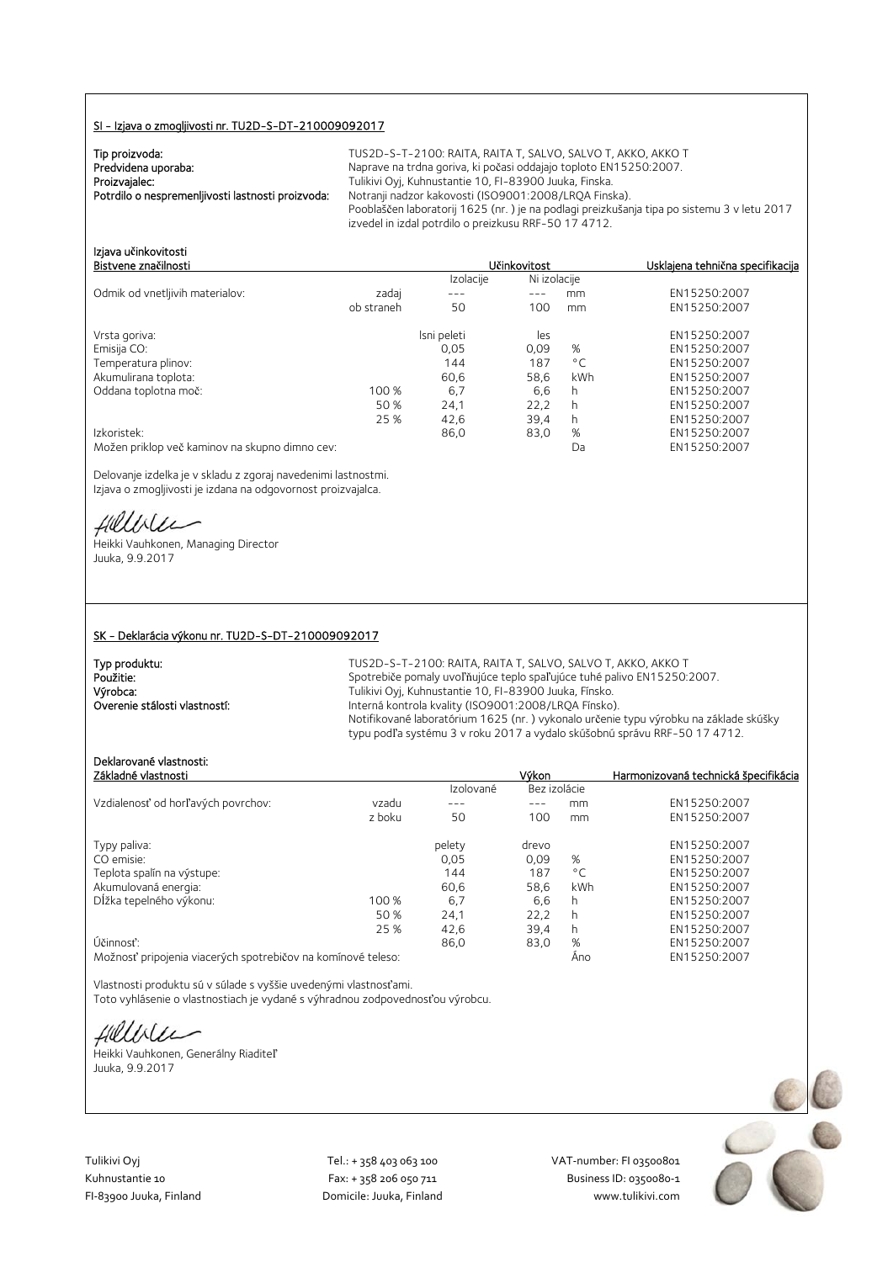### SI - Izjava o zmogljivosti nr. TU2D-S-DT-210009092017

| Tip proizvoda:                                    |  |
|---------------------------------------------------|--|
| Predvidena uporaba:                               |  |
| Proizvajalec:                                     |  |
| Potrdilo o nespremenljivosti lastnosti proizvoda: |  |
|                                                   |  |

TUS2D-S-T-2100: RAITA, RAITA T, SALVO, SALVO T, AKKO, AKKO T Japrave na trdna goriva, ki počasi oddajajo toploto EN15250:2007. viikivi Oyj, Kuhnustantie 10, FI-83900 Juuka, Finska. Potrdilo o nespremenljivosti lastnosti proizvoda: Notranji nadzor kakovosti (ISO9001:2008/LRQA Finska). Pooblaščen laboratorij 1625 (nr. ) je na podlagi preizkušanja tipa po sistemu 3 v letu 2017 izvedel in izdal potrdilo o preizkusu RRF-50 17 4712.

| Izjava učinkovitosti                                                                                                                                                                                                                                                           |           |              |                                  |  |
|--------------------------------------------------------------------------------------------------------------------------------------------------------------------------------------------------------------------------------------------------------------------------------|-----------|--------------|----------------------------------|--|
| Bistvene značilnosti                                                                                                                                                                                                                                                           |           | Učinkovitost | Usklaiena tehnična specifikacija |  |
|                                                                                                                                                                                                                                                                                | Izolacije | Ni izolacije |                                  |  |
| $\sim$ 1 $\sim$ 1 $\sim$ 100 $\sim$ 100 $\sim$ 100 $\sim$ 100 $\sim$ 100 $\sim$ 100 $\sim$ 100 $\sim$ 100 $\sim$ 100 $\sim$ 100 $\sim$ 100 $\sim$ 100 $\sim$ 100 $\sim$ 100 $\sim$ 100 $\sim$ 100 $\sim$ 100 $\sim$ 100 $\sim$ 100 $\sim$ 100 $\sim$ 100 $\sim$ 100 $\sim$ 100 |           |              | T11100000000000                  |  |

| Odmik od vnetljivih materialov:                | zadai      |             |      | mm           | EN15250:2007 |
|------------------------------------------------|------------|-------------|------|--------------|--------------|
|                                                | ob straneh | 50          | 100  | mm           | EN15250:2007 |
| Vrsta goriva:                                  |            | Isni peleti | les  |              | EN15250:2007 |
| Emisija CO:                                    |            | 0,05        | 0.09 | %            | EN15250:2007 |
| Temperatura plinov:                            |            | 144         | 187  | $^{\circ}$ C | EN15250:2007 |
| Akumulirana toplota:                           |            | 60.6        | 58,6 | kWh          | EN15250:2007 |
| Oddana toplotna moč:                           | 100 %      | 6,7         | 6,6  | h            | EN15250:2007 |
|                                                | 50 %       | 24.1        | 22,2 | h            | EN15250:2007 |
|                                                | 25 %       | 42.6        | 39,4 | h            | EN15250:2007 |
| Izkoristek:                                    |            | 86,0        | 83,0 | %            | EN15250:2007 |
| Možen priklop več kaminov na skupno dimno cev: |            |             |      | Da           | EN15250:2007 |

Delovanje izdelka je v skladu z zgoraj navedenimi lastnostmi. Izjava o zmogljivosti je izdana na odgovornost proizvajalca.

Hillbler

Heikki Vauhkonen, Managing Director Juuka, 9.9.2017

#### SK - Deklarácia výkonu nr. TU2D-S-DT-210009092017

| Typ produktu:                 | TUS2D-S-T-2100: RAITA, RAITA T, SALVO, SALVO T, AKKO, AKKO T                         |
|-------------------------------|--------------------------------------------------------------------------------------|
| Použitie:                     | Spotrebiče pomaly uvoľňujúce teplo spaľujúce tuhé palivo EN15250:2007.               |
| Výrobca:                      | Tulikivi Oyj, Kuhnustantie 10, FI-83900 Juuka, Fínsko.                               |
| Overenie stálosti vlastností: | Interná kontrola kvality (ISO9001:2008/LROA Fínsko).                                 |
|                               | Notifikované laboratórium 1625 (nr.) vykonalo určenie typu výrobku na základe skúšky |
|                               | typu podľa systému 3 v roku 2017 a vydalo skúšobnú správu RRF-50 17 4712.            |

# Deklarované vlastnosti:

| Základné vlastnosti                |        |           | Výkon        |              | Harmonizovaná technická špecifikácia |
|------------------------------------|--------|-----------|--------------|--------------|--------------------------------------|
|                                    |        | Izolované | Bez izolácie |              |                                      |
| Vzdialenosť od horľavých povrchov: | vzadu  | ---       | ---          | mm           | EN15250:2007                         |
|                                    | z boku | 50        | 100          | mm           | EN15250:2007                         |
| Typy paliva:                       |        | pelety    | drevo        |              | EN15250:2007                         |
| CO emisie:                         |        | 0.05      | 0.09         | %            | EN15250:2007                         |
| Teplota spalín na výstupe:         |        | 144       | 187          | $^{\circ}$ C | EN15250:2007                         |
| Akumulovaná energia:               |        | 60.6      | 58,6         | kWh          | EN15250:2007                         |
| Dĺžka tepelného výkonu:            | 100 %  | 6,7       | 6,6          | h            | EN15250:2007                         |
|                                    | 50 %   | 24,1      | 22.2         | h            | EN15250:2007                         |
|                                    | 25 %   | 42.6      | 39,4         | h            | EN15250:2007                         |
| Účinnosť:                          |        | 86,0      | 83,0         | %            | EN15250:2007                         |
|                                    |        |           |              |              | $T$ MACOCOOOT                        |

Možnosť pripojenia viacerých spotrebičov na komínové teleso: Áno EN15250:2007

Vlastnosti produktu sú v súlade s vyššie uvedenými vlastnosťami. Toto vyhlásenie o vlastnostiach je vydané s výhradnou zodpovednosťou výrobcu.

fillble

Heikki Vauhkonen, Generálny Riaditeľ Juuka, 9.9.2017